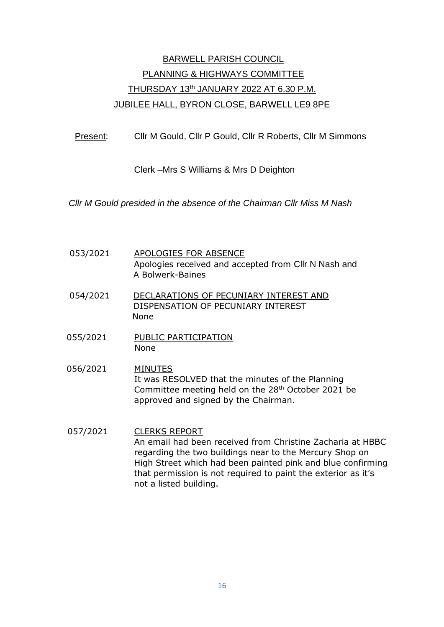# BARWELL PARISH COUNCIL PLANNING & HIGHWAYS COMMITTEE THURSDAY 13th JANUARY 2022 AT 6.30 P.M. JUBILEE HALL, BYRON CLOSE, BARWELL LE9 8PE

Present: Cllr M Gould, Cllr P Gould, Cllr R Roberts, Cllr M Simmons

Clerk –Mrs S Williams & Mrs D Deighton

*Cllr M Gould presided in the absence of the Chairman Cllr Miss M Nash*

- 053/2021 APOLOGIES FOR ABSENCE Apologies received and accepted from Cllr N Nash and A Bolwerk-Baines
- 054/2021 DECLARATIONS OF PECUNIARY INTEREST AND DISPENSATION OF PECUNIARY INTEREST None
- 055/2021 PUBLIC PARTICIPATION None
- 056/2021 MINUTES It was RESOLVED that the minutes of the Planning Committee meeting held on the 28th October 2021 be approved and signed by the Chairman.
- 057/2021 CLERKS REPORT An email had been received from Christine Zacharia at HBBC regarding the two buildings near to the Mercury Shop on High Street which had been painted pink and blue confirming that permission is not required to paint the exterior as it's not a listed building.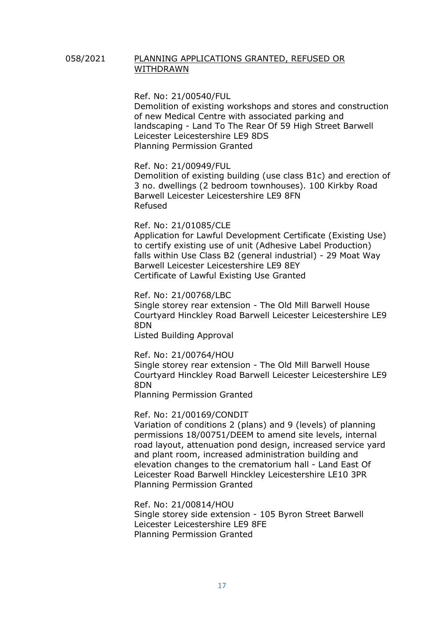## 058/2021 PLANNING APPLICATIONS GRANTED, REFUSED OR WITHDRAWN

Ref. No: 21/00540/FUL

[Demolition of existing workshops and stores and construction](https://pa.hinckley-bosworth.gov.uk/online-applications/centralDistribution.do?caseType=Application&keyVal=QS8ADNIIHW300)  [of new Medical Centre with associated parking and](https://pa.hinckley-bosworth.gov.uk/online-applications/centralDistribution.do?caseType=Application&keyVal=QS8ADNIIHW300)  landscaping - [Land To The Rear Of 59 High Street Barwell](https://pa.hinckley-bosworth.gov.uk/online-applications/centralDistribution.do?caseType=Application&keyVal=QS8ADNIIHW300)  [Leicester Leicestershire LE9 8DS](https://pa.hinckley-bosworth.gov.uk/online-applications/centralDistribution.do?caseType=Application&keyVal=QS8ADNIIHW300) Planning Permission Granted

Ref. No: 21/00949/FUL

[Demolition of existing building \(use class B1c\) and erection of](https://pa.hinckley-bosworth.gov.uk/online-applications/centralDistribution.do?caseType=Application&keyVal=QWUYEGIIFWG00)  [3 no. dwellings \(2 bedroom townhouses\). 100 Kirkby Road](https://pa.hinckley-bosworth.gov.uk/online-applications/centralDistribution.do?caseType=Application&keyVal=QWUYEGIIFWG00)  [Barwell Leicester Leicestershire LE9 8FN](https://pa.hinckley-bosworth.gov.uk/online-applications/centralDistribution.do?caseType=Application&keyVal=QWUYEGIIFWG00) Refused

### Ref. No: 21/01085/CLE

[Application for Lawful Development Certificate \(Existing](https://pa.hinckley-bosworth.gov.uk/online-applications/centralDistribution.do?caseType=Application&keyVal=QYGD4YIIMHN00) Use) to certify existing [use of unit \(Adhesive Label Production\)](https://pa.hinckley-bosworth.gov.uk/online-applications/centralDistribution.do?caseType=Application&keyVal=QYGD4YIIMHN00)  [falls within Use Class B2 \(general industrial\) -](https://pa.hinckley-bosworth.gov.uk/online-applications/centralDistribution.do?caseType=Application&keyVal=QYGD4YIIMHN00) 29 Moat Way [Barwell Leicester Leicestershire LE9 8EY](https://pa.hinckley-bosworth.gov.uk/online-applications/centralDistribution.do?caseType=Application&keyVal=QYGD4YIIMHN00) Certificate of Lawful Existing Use Granted

Ref. No: 21/00768/LBC

[Single storey rear extension -](https://pa.hinckley-bosworth.gov.uk/online-applications/centralDistribution.do?caseType=Application&keyVal=QUHRPLIIHB100) The Old Mill Barwell House [Courtyard Hinckley Road Barwell Leicester Leicestershire LE9](https://pa.hinckley-bosworth.gov.uk/online-applications/centralDistribution.do?caseType=Application&keyVal=QUHRPLIIHB100)  [8DN](https://pa.hinckley-bosworth.gov.uk/online-applications/centralDistribution.do?caseType=Application&keyVal=QUHRPLIIHB100)

Listed Building Approval

Ref. No: 21/00764/HOU

[Single storey rear extension -](https://pa.hinckley-bosworth.gov.uk/online-applications/centralDistribution.do?caseType=Application&keyVal=QUFX28IIFWK00) The Old Mill Barwell House [Courtyard Hinckley Road Barwell Leicester Leicestershire LE9](https://pa.hinckley-bosworth.gov.uk/online-applications/centralDistribution.do?caseType=Application&keyVal=QUFX28IIFWK00)  [8DN](https://pa.hinckley-bosworth.gov.uk/online-applications/centralDistribution.do?caseType=Application&keyVal=QUFX28IIFWK00)

Planning Permission Granted

Ref. No: 21/00169/CONDIT

[Variation of conditions 2 \(plans\) and 9 \(levels\)](https://pa.hinckley-bosworth.gov.uk/online-applications/centralDistribution.do?caseType=Application&keyVal=QO7X6LIILM400) of planning [permissions 18/00751/DEEM to amend site levels, internal](https://pa.hinckley-bosworth.gov.uk/online-applications/centralDistribution.do?caseType=Application&keyVal=QO7X6LIILM400)  [road layout, attenuation pond design, increased service yard](https://pa.hinckley-bosworth.gov.uk/online-applications/centralDistribution.do?caseType=Application&keyVal=QO7X6LIILM400)  [and plant room, increased administration building and](https://pa.hinckley-bosworth.gov.uk/online-applications/centralDistribution.do?caseType=Application&keyVal=QO7X6LIILM400)  [elevation changes to the crematorium](https://pa.hinckley-bosworth.gov.uk/online-applications/centralDistribution.do?caseType=Application&keyVal=QO7X6LIILM400) hall - Land East Of Leicester Road [Barwell Hinckley Leicestershire LE10 3PR](https://pa.hinckley-bosworth.gov.uk/online-applications/centralDistribution.do?caseType=Application&keyVal=QO7X6LIILM400) Planning Permission Granted

Ref. No: 21/00814/HOU [Single storey side extension -](https://pa.hinckley-bosworth.gov.uk/online-applications/centralDistribution.do?caseType=Application&keyVal=QV255MII09O00) 105 Byron Street Barwell [Leicester Leicestershire LE9 8FE](https://pa.hinckley-bosworth.gov.uk/online-applications/centralDistribution.do?caseType=Application&keyVal=QV255MII09O00) Planning Permission Granted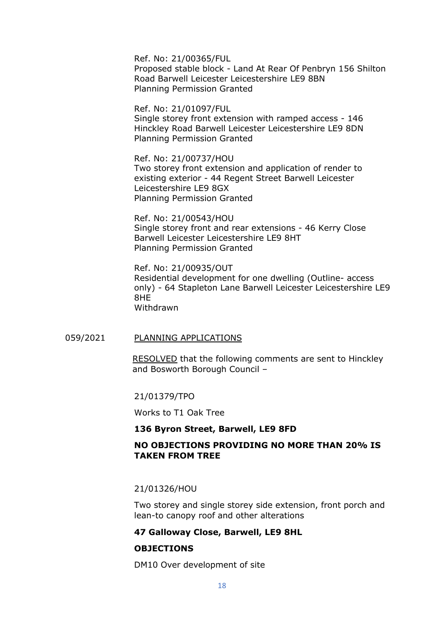Ref. No: 21/00365/FUL Proposed stable block - [Land At Rear Of Penbryn 156 Shilton](https://pa.hinckley-bosworth.gov.uk/online-applications/centralDistribution.do?caseType=Application&keyVal=QQ4FUSIIFZG00)  [Road Barwell Leicester Leicestershire LE9 8BN](https://pa.hinckley-bosworth.gov.uk/online-applications/centralDistribution.do?caseType=Application&keyVal=QQ4FUSIIFZG00) Planning Permission Granted

Ref. No: 21/01097/FUL [Single storey front extension with ramped access -](https://pa.hinckley-bosworth.gov.uk/online-applications/centralDistribution.do?caseType=Application&keyVal=QYPME7IIFKO00) 146 [Hinckley Road Barwell Leicester Leicestershire LE9 8DN](https://pa.hinckley-bosworth.gov.uk/online-applications/centralDistribution.do?caseType=Application&keyVal=QYPME7IIFKO00) Planning Permission Granted

Ref. No: 21/00737/HOU [Two storey front extension and application of render to](https://pa.hinckley-bosworth.gov.uk/online-applications/centralDistribution.do?caseType=Application&keyVal=QU6NS7IIJ0100)  existing exterior - [44 Regent Street Barwell Leicester](https://pa.hinckley-bosworth.gov.uk/online-applications/centralDistribution.do?caseType=Application&keyVal=QU6NS7IIJ0100)  [Leicestershire LE9 8GX](https://pa.hinckley-bosworth.gov.uk/online-applications/centralDistribution.do?caseType=Application&keyVal=QU6NS7IIJ0100) Planning Permission Granted

Ref. No: 21/00543/HOU [Single storey front and rear extensions -](https://pa.hinckley-bosworth.gov.uk/online-applications/centralDistribution.do?caseType=Application&keyVal=QSA52QIIINP00) 46 Kerry Close [Barwell Leicester Leicestershire LE9 8HT](https://pa.hinckley-bosworth.gov.uk/online-applications/centralDistribution.do?caseType=Application&keyVal=QSA52QIIINP00) Planning Permission Granted

Ref. No: 21/00935/OUT [Residential development for one dwelling \(Outline-](https://pa.hinckley-bosworth.gov.uk/online-applications/centralDistribution.do?caseType=Application&keyVal=QWNJQCIIMKG00) access only) - [64 Stapleton Lane Barwell Leicester Leicestershire LE9](https://pa.hinckley-bosworth.gov.uk/online-applications/centralDistribution.do?caseType=Application&keyVal=QWNJQCIIMKG00)  [8HE](https://pa.hinckley-bosworth.gov.uk/online-applications/centralDistribution.do?caseType=Application&keyVal=QWNJQCIIMKG00) Withdrawn

## 059/2021 PLANNING APPLICATIONS

RESOLVED that the following comments are sent to Hinckley and Bosworth Borough Council –

21/01379/TPO

Works to T1 Oak Tree

#### **136 Byron Street, Barwell, LE9 8FD**

## **NO OBJECTIONS PROVIDING NO MORE THAN 20% IS TAKEN FROM TREE**

21/01326/HOU

Two storey and single storey side extension, front porch and lean-to canopy roof and other alterations

#### **47 Galloway Close, Barwell, LE9 8HL**

### **OBJECTIONS**

DM10 Over development of site